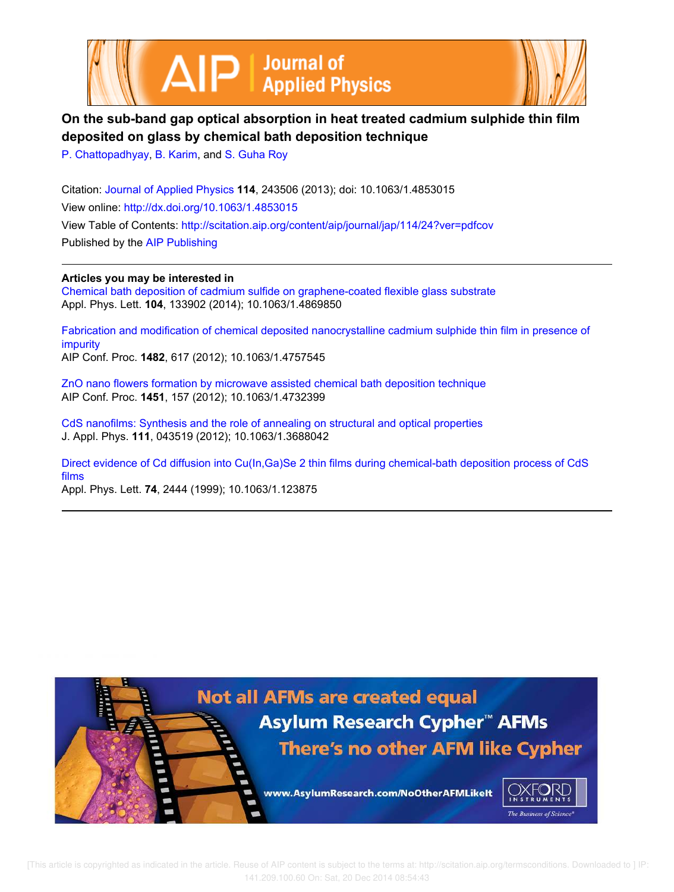



# **On the sub-band gap optical absorption in heat treated cadmium sulphide thin film deposited on glass by chemical bath deposition technique**

P. Chattopadhyay, B. Karim, and S. Guha Roy

Citation: Journal of Applied Physics **114**, 243506 (2013); doi: 10.1063/1.4853015 View online: http://dx.doi.org/10.1063/1.4853015 View Table of Contents: http://scitation.aip.org/content/aip/journal/jap/114/24?ver=pdfcov Published by the AIP Publishing

**Articles you may be interested in** Chemical bath deposition of cadmium sulfide on graphene-coated flexible glass substrate Appl. Phys. Lett. **104**, 133902 (2014); 10.1063/1.4869850

Fabrication and modification of chemical deposited nanocrystalline cadmium sulphide thin film in presence of impurity AIP Conf. Proc. **1482**, 617 (2012); 10.1063/1.4757545

ZnO nano flowers formation by microwave assisted chemical bath deposition technique AIP Conf. Proc. **1451**, 157 (2012); 10.1063/1.4732399

CdS nanofilms: Synthesis and the role of annealing on structural and optical properties J. Appl. Phys. **111**, 043519 (2012); 10.1063/1.3688042

Direct evidence of Cd diffusion into Cu(In,Ga)Se 2 thin films during chemical-bath deposition process of CdS films

Appl. Phys. Lett. **74**, 2444 (1999); 10.1063/1.123875

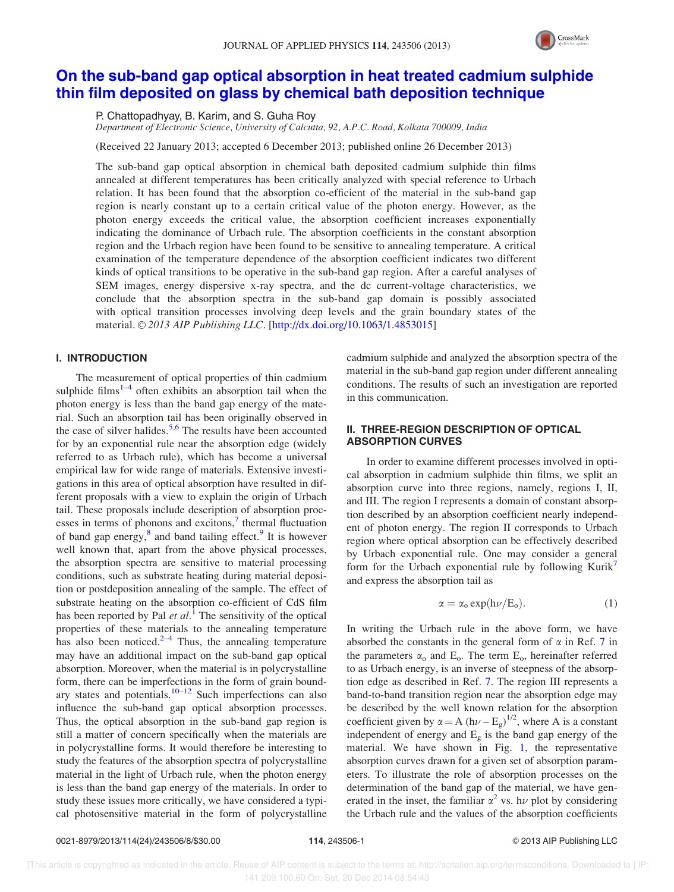

## On the sub-band gap optical absorption in heat treated cadmium sulphide thin film deposited on glass by chemical bath deposition technique

P. Chattopadhyay, B. Karim, and S. Guha Roy

Department of Electronic Science, University of Calcutta, 92, A.P.C. Road, Kolkata 700009, India

(Received 22 January 2013; accepted 6 December 2013; published online 26 December 2013)

The sub-band gap optical absorption in chemical bath deposited cadmium sulphide thin films annealed at different temperatures has been critically analyzed with special reference to Urbach relation. It has been found that the absorption co-efficient of the material in the sub-band gap region is nearly constant up to a certain critical value of the photon energy. However, as the photon energy exceeds the critical value, the absorption coefficient increases exponentially indicating the dominance of Urbach rule. The absorption coefficients in the constant absorption region and the Urbach region have been found to be sensitive to annealing temperature. A critical examination of the temperature dependence of the absorption coefficient indicates two different kinds of optical transitions to be operative in the sub-band gap region. After a careful analyses of SEM images, energy dispersive x-ray spectra, and the dc current-voltage characteristics, we conclude that the absorption spectra in the sub-band gap domain is possibly associated with optical transition processes involving deep levels and the grain boundary states of the material. © 2013 AIP Publishing LLC. [http://dx.doi.org/10.1063/1.4853015]

## I. INTRODUCTION

The measurement of optical properties of thin cadmium sulphide films<sup>1-4</sup> often exhibits an absorption tail when the photon energy is less than the band gap energy of the material. Such an absorption tail has been originally observed in the case of silver halides.<sup>5,6</sup> The results have been accounted for by an exponential rule near the absorption edge (widely referred to as Urbach rule), which has become a universal empirical law for wide range of materials. Extensive investigations in this area of optical absorption have resulted in different proposals with a view to explain the origin of Urbach tail. These proposals include description of absorption processes in terms of phonons and excitons,<sup>7</sup> thermal fluctuation of band gap energy,<sup>8</sup> and band tailing effect.<sup>9</sup> It is however well known that, apart from the above physical processes, the absorption spectra are sensitive to material processing conditions, such as substrate heating during material deposition or postdeposition annealing of the sample. The effect of substrate heating on the absorption co-efficient of CdS film has been reported by Pal  $et al.$ <sup>1</sup> The sensitivity of the optical properties of these materials to the annealing temperature has also been noticed. $2^{-4}$  Thus, the annealing temperature may have an additional impact on the sub-band gap optical absorption. Moreover, when the material is in polycrystalline form, there can be imperfections in the form of grain boundary states and potentials. $10-12$  Such imperfections can also influence the sub-band gap optical absorption processes. Thus, the optical absorption in the sub-band gap region is still a matter of concern specifically when the materials are in polycrystalline forms. It would therefore be interesting to study the features of the absorption spectra of polycrystalline material in the light of Urbach rule, when the photon energy is less than the band gap energy of the materials. In order to study these issues more critically, we have considered a typical photosensitive material in the form of polycrystalline cadmium sulphide and analyzed the absorption spectra of the material in the sub-band gap region under different annealing conditions. The results of such an investigation are reported in this communication.

## II. THREE-REGION DESCRIPTION OF OPTICAL ABSORPTION CURVES

In order to examine different processes involved in optical absorption in cadmium sulphide thin films, we split an absorption curve into three regions, namely, regions I, II, and III. The region I represents a domain of constant absorption described by an absorption coefficient nearly independent of photon energy. The region II corresponds to Urbach region where optical absorption can be effectively described by Urbach exponential rule. One may consider a general form for the Urbach exponential rule by following Kurik<sup> $\prime$ </sup> and express the absorption tail as

$$
\alpha = \alpha_o \exp(h\nu/E_o). \tag{1}
$$

In writing the Urbach rule in the above form, we have absorbed the constants in the general form of  $\alpha$  in Ref. 7 in the parameters  $\alpha_0$  and  $E_0$ . The term  $E_0$ , hereinafter referred to as Urbach energy, is an inverse of steepness of the absorption edge as described in Ref. 7. The region III represents a band-to-band transition region near the absorption edge may be described by the well known relation for the absorption coefficient given by  $\alpha = A (h\nu - E_g)^{1/2}$ , where A is a constant independent of energy and  $E<sub>g</sub>$  is the band gap energy of the material. We have shown in Fig. 1, the representative absorption curves drawn for a given set of absorption parameters. To illustrate the role of absorption processes on the determination of the band gap of the material, we have generated in the inset, the familiar  $\alpha^2$  vs. h $\nu$  plot by considering the Urbach rule and the values of the absorption coefficients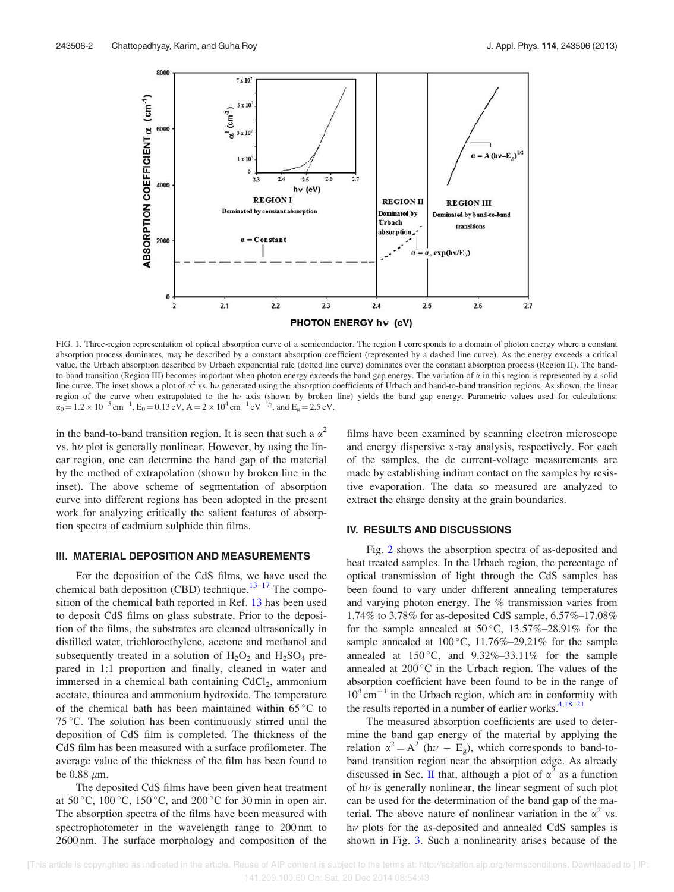

FIG. 1. Three-region representation of optical absorption curve of a semiconductor. The region I corresponds to a domain of photon energy where a constant absorption process dominates, may be described by a constant absorption coefficient (represented by a dashed line curve). As the energy exceeds a critical value, the Urbach absorption described by Urbach exponential rule (dotted line curve) dominates over the constant absorption process (Region II). The bandto-band transition (Region III) becomes important when photon energy exceeds the band gap energy. The variation of  $\alpha$  in this region is represented by a solid line curve. The inset shows a plot of  $\alpha^2$  vs. h<sub>v</sub> generated using the absorption coefficients of Urbach and band-to-band transition regions. As shown, the linear region of the curve when extrapolated to the h $\nu$  axis (shown by broken line) yields the band gap energy. Parametric values used for calculations:  $\alpha_0 = 1.2 \times 10^{-5} \text{ cm}^{-1}$ ,  $E_0 = 0.13 \text{ eV}$ ,  $A = 2 \times 10^4 \text{ cm}^{-1} \text{ eV}^{-1/2}$ , and  $E_g = 2.5 \text{ eV}$ .

in the band-to-band transition region. It is seen that such a  $\alpha^2$ vs.  $h\nu$  plot is generally nonlinear. However, by using the linear region, one can determine the band gap of the material by the method of extrapolation (shown by broken line in the inset). The above scheme of segmentation of absorption curve into different regions has been adopted in the present work for analyzing critically the salient features of absorption spectra of cadmium sulphide thin films.

### III. MATERIAL DEPOSITION AND MEASUREMENTS

For the deposition of the CdS films, we have used the chemical bath deposition (CBD) technique. $13-17$  The composition of the chemical bath reported in Ref. 13 has been used to deposit CdS films on glass substrate. Prior to the deposition of the films, the substrates are cleaned ultrasonically in distilled water, trichloroethylene, acetone and methanol and subsequently treated in a solution of  $H_2O_2$  and  $H_2SO_4$  prepared in 1:1 proportion and finally, cleaned in water and immersed in a chemical bath containing CdCl<sub>2</sub>, ammonium acetate, thiourea and ammonium hydroxide. The temperature of the chemical bath has been maintained within  $65^{\circ}$ C to 75 °C. The solution has been continuously stirred until the deposition of CdS film is completed. The thickness of the CdS film has been measured with a surface profilometer. The average value of the thickness of the film has been found to be  $0.88 \mu m$ .

The deposited CdS films have been given heat treatment at  $50^{\circ}$ C,  $100^{\circ}$ C,  $150^{\circ}$ C, and  $200^{\circ}$ C for  $30$  min in open air. The absorption spectra of the films have been measured with spectrophotometer in the wavelength range to 200 nm to 2600 nm. The surface morphology and composition of the films have been examined by scanning electron microscope and energy dispersive x-ray analysis, respectively. For each of the samples, the dc current-voltage measurements are made by establishing indium contact on the samples by resistive evaporation. The data so measured are analyzed to extract the charge density at the grain boundaries.

#### IV. RESULTS AND DISCUSSIONS

Fig. 2 shows the absorption spectra of as-deposited and heat treated samples. In the Urbach region, the percentage of optical transmission of light through the CdS samples has been found to vary under different annealing temperatures and varying photon energy. The % transmission varies from 1.74% to 3.78% for as-deposited CdS sample, 6.57%–17.08% for the sample annealed at  $50^{\circ}$ C,  $13.57\%$ -28.91% for the sample annealed at  $100^{\circ}$ C,  $11.76\%$  -29.21% for the sample annealed at  $150^{\circ}$ C, and  $9.32\% - 33.11\%$  for the sample annealed at  $200^{\circ}$ C in the Urbach region. The values of the absorption coefficient have been found to be in the range of  $10^4$  cm<sup>-1</sup> in the Urbach region, which are in conformity with the results reported in a number of earlier works. $4,18-21$ 

The measured absorption coefficients are used to determine the band gap energy of the material by applying the relation  $\alpha^2 = A^2$  (h $\nu - E_g$ ), which corresponds to band-toband transition region near the absorption edge. As already discussed in Sec. II that, although a plot of  $\alpha^2$  as a function of  $h\nu$  is generally nonlinear, the linear segment of such plot can be used for the determination of the band gap of the material. The above nature of nonlinear variation in the  $\alpha^2$  vs.  $h\nu$  plots for the as-deposited and annealed CdS samples is shown in Fig. 3. Such a nonlinearity arises because of the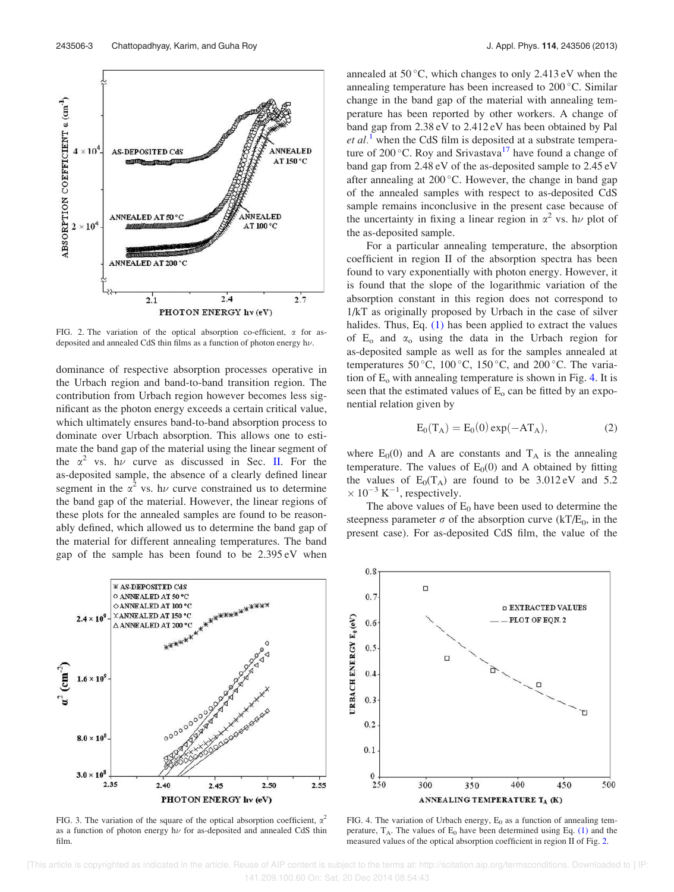FIG. 2. The variation of the optical absorption co-efficient,  $\alpha$  for asdeposited and annealed CdS thin films as a function of photon energy  $h\nu$ .

dominance of respective absorption processes operative in the Urbach region and band-to-band transition region. The contribution from Urbach region however becomes less significant as the photon energy exceeds a certain critical value, which ultimately ensures band-to-band absorption process to dominate over Urbach absorption. This allows one to estimate the band gap of the material using the linear segment of the  $\alpha^2$  vs. h<sub>v</sub> curve as discussed in Sec. II. For the as-deposited sample, the absence of a clearly defined linear segment in the  $\alpha^2$  vs. h $\nu$  curve constrained us to determine the band gap of the material. However, the linear regions of these plots for the annealed samples are found to be reasonably defined, which allowed us to determine the band gap of the material for different annealing temperatures. The band gap of the sample has been found to be 2.395 eV when

\* AS-DEPOSITED CdS O ANNEALED AT 50 °C. ◇ ANNEALED AT 100 °C XANNEALED AT 150 °C  $2.4 \times 10^{9}$ △ ANNEALED AT 200 °C  $\mathbf{r}^2$  (cm<sup>-2</sup>  $1.6 \times 10^9$ 000000000  $8.0 \times 10^{3}$  $3.0 \times 10^{8}$ 2.35  $2.40$ 2.50 2.55  $2.45$ 

FIG. 3. The variation of the square of the optical absorption coefficient,  $\alpha^2$ as a function of photon energy  $h\nu$  for as-deposited and annealed CdS thin film.

PHOTON ENERGY hv (eV)

annealed at  $50^{\circ}$ C, which changes to only 2.413 eV when the annealing temperature has been increased to  $200^{\circ}$ C. Similar change in the band gap of the material with annealing temperature has been reported by other workers. A change of band gap from 2.38 eV to 2.412 eV has been obtained by Pal *et al.*<sup>1</sup> when the CdS film is deposited at a substrate temperature of 200 $^{\circ}$ C. Roy and Srivastava<sup>17</sup> have found a change of band gap from 2.48 eV of the as-deposited sample to 2.45 eV after annealing at  $200^{\circ}$ C. However, the change in band gap of the annealed samples with respect to as-deposited CdS sample remains inconclusive in the present case because of the uncertainty in fixing a linear region in  $\alpha^2$  vs. h $\nu$  plot of the as-deposited sample.

For a particular annealing temperature, the absorption coefficient in region II of the absorption spectra has been found to vary exponentially with photon energy. However, it is found that the slope of the logarithmic variation of the absorption constant in this region does not correspond to 1/kT as originally proposed by Urbach in the case of silver halides. Thus, Eq. (1) has been applied to extract the values of  $E_0$  and  $\alpha_0$  using the data in the Urbach region for as-deposited sample as well as for the samples annealed at temperatures 50 °C, 100 °C, 150 °C, and 200 °C. The variation of  $E_0$  with annealing temperature is shown in Fig. 4. It is seen that the estimated values of  $E_0$  can be fitted by an exponential relation given by

$$
E_0(T_A) = E_0(0) \exp(-AT_A), \qquad (2)
$$

where  $E_0(0)$  and A are constants and  $T_A$  is the annealing temperature. The values of  $E<sub>0</sub>(0)$  and A obtained by fitting the values of  $E_0(T_A)$  are found to be 3.012 eV and 5.2  $\times 10^{-3}$  K<sup>-1</sup>, respectively.

The above values of  $E_0$  have been used to determine the steepness parameter  $\sigma$  of the absorption curve (kT/E<sub>0</sub>, in the present case). For as-deposited CdS film, the value of the

FIG. 4. The variation of Urbach energy,  $E_0$  as a function of annealing temperature,  $T_A$ . The values of  $E_0$  have been determined using Eq. (1) and the measured values of the optical absorption coefficient in region II of Fig. 2.

 [This article is copyrighted as indicated in the article. Reuse of AIP content is subject to the terms at: http://scitation.aip.org/termsconditions. Downloaded to ] IP: 141.209.100.60 On: Sat, 20 Dec 2014 08:54:43



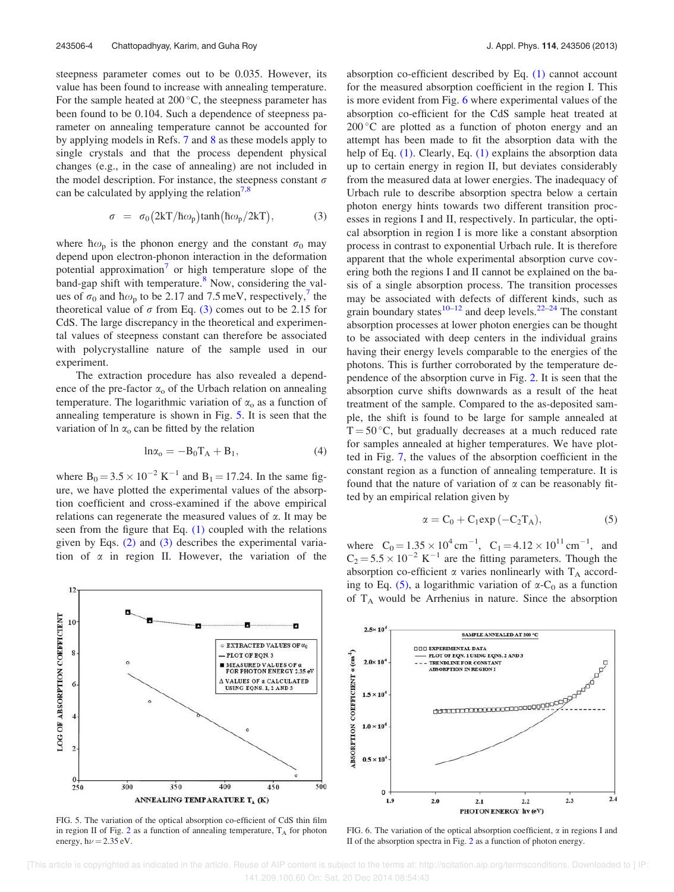steepness parameter comes out to be 0.035. However, its value has been found to increase with annealing temperature. For the sample heated at  $200^{\circ}$ C, the steepness parameter has been found to be 0.104. Such a dependence of steepness parameter on annealing temperature cannot be accounted for by applying models in Refs. 7 and 8 as these models apply to single crystals and that the process dependent physical changes (e.g., in the case of annealing) are not included in the model description. For instance, the steepness constant  $\sigma$ can be calculated by applying the relation<sup> $7,8$ </sup>

$$
\sigma = \sigma_0 (2kT/\hbar \omega_p) \tanh(\hbar \omega_p / 2kT), \tag{3}
$$

where  $\hbar \omega_p$  is the phonon energy and the constant  $\sigma_0$  may depend upon electron-phonon interaction in the deformation potential approximation<sup>7</sup> or high temperature slope of the band-gap shift with temperature.<sup>8</sup> Now, considering the values of  $\sigma_0$  and  $\hbar \omega_p$  to be 2.17 and 7.5 meV, respectively,<sup>7</sup> the theoretical value of  $\sigma$  from Eq. (3) comes out to be 2.15 for CdS. The large discrepancy in the theoretical and experimental values of steepness constant can therefore be associated with polycrystalline nature of the sample used in our experiment.

The extraction procedure has also revealed a dependence of the pre-factor  $\alpha_0$  of the Urbach relation on annealing temperature. The logarithmic variation of  $\alpha_0$  as a function of annealing temperature is shown in Fig. 5. It is seen that the variation of  $\ln \alpha_0$  can be fitted by the relation

$$
\ln \alpha_0 = -B_0 T_A + B_1,\tag{4}
$$

where  $B_0 = 3.5 \times 10^{-2} \text{ K}^{-1}$  and  $B_1 = 17.24$ . In the same figure, we have plotted the experimental values of the absorption coefficient and cross-examined if the above empirical relations can regenerate the measured values of  $\alpha$ . It may be seen from the figure that Eq.  $(1)$  coupled with the relations given by Eqs. (2) and (3) describes the experimental variation of  $\alpha$  in region II. However, the variation of the



FIG. 5. The variation of the optical absorption co-efficient of CdS thin film in region II of Fig.  $2$  as a function of annealing temperature,  $T_A$  for photon energy,  $h\nu = 2.35$  eV.

absorption co-efficient described by Eq. (1) cannot account for the measured absorption coefficient in the region I. This is more evident from Fig. 6 where experimental values of the absorption co-efficient for the CdS sample heat treated at  $200\,^{\circ}$ C are plotted as a function of photon energy and an attempt has been made to fit the absorption data with the help of Eq. (1). Clearly, Eq. (1) explains the absorption data up to certain energy in region II, but deviates considerably from the measured data at lower energies. The inadequacy of Urbach rule to describe absorption spectra below a certain photon energy hints towards two different transition processes in regions I and II, respectively. In particular, the optical absorption in region I is more like a constant absorption process in contrast to exponential Urbach rule. It is therefore apparent that the whole experimental absorption curve covering both the regions I and II cannot be explained on the basis of a single absorption process. The transition processes may be associated with defects of different kinds, such as grain boundary states<sup>10–12</sup> and deep levels.<sup>22–24</sup> The constant absorption processes at lower photon energies can be thought to be associated with deep centers in the individual grains having their energy levels comparable to the energies of the photons. This is further corroborated by the temperature dependence of the absorption curve in Fig. 2. It is seen that the absorption curve shifts downwards as a result of the heat treatment of the sample. Compared to the as-deposited sample, the shift is found to be large for sample annealed at  $T = 50$  °C, but gradually decreases at a much reduced rate for samples annealed at higher temperatures. We have plotted in Fig. 7, the values of the absorption coefficient in the constant region as a function of annealing temperature. It is found that the nature of variation of  $\alpha$  can be reasonably fitted by an empirical relation given by

$$
\alpha = C_0 + C_1 \exp(-C_2 T_A),\tag{5}
$$

where  $C_0 = 1.35 \times 10^4 \text{ cm}^{-1}$ ,  $C_1 = 4.12 \times 10^{11} \text{ cm}^{-1}$ , and  $C_2 = 5.5 \times 10^{-2} \text{ K}^{-1}$  are the fitting parameters. Though the absorption co-efficient  $\alpha$  varies nonlinearly with T<sub>A</sub> according to Eq. (5), a logarithmic variation of  $\alpha$ -C<sub>0</sub> as a function of  $T_A$  would be Arrhenius in nature. Since the absorption



FIG. 6. The variation of the optical absorption coefficient,  $\alpha$  in regions I and II of the absorption spectra in Fig. 2 as a function of photon energy.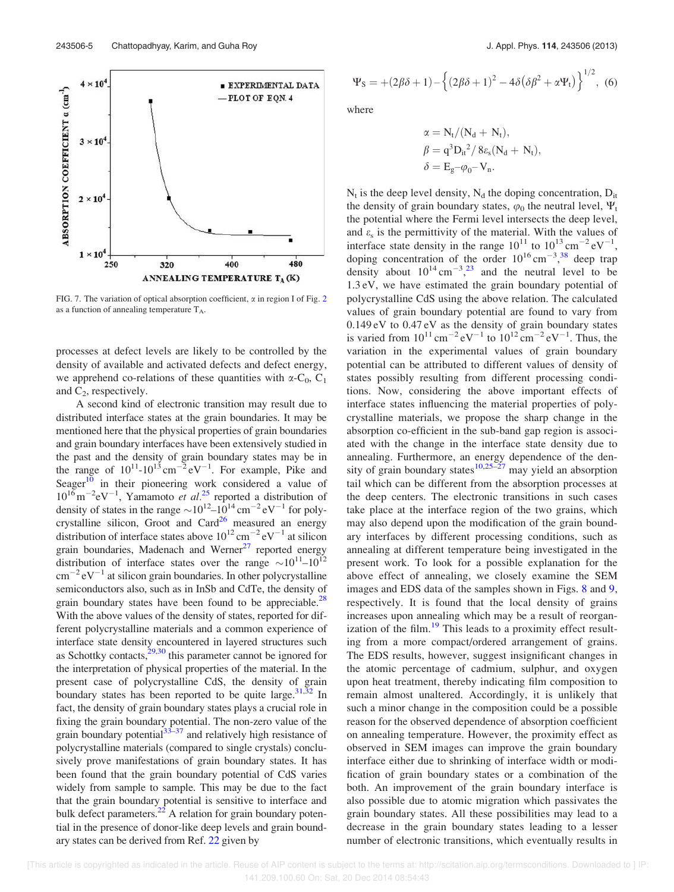

FIG. 7. The variation of optical absorption coefficient,  $\alpha$  in region I of Fig. 2 as a function of annealing temperature  $T_A$ .

processes at defect levels are likely to be controlled by the density of available and activated defects and defect energy, we apprehend co-relations of these quantities with  $\alpha$ -C<sub>0</sub>, C<sub>1</sub> and  $C_2$ , respectively.

A second kind of electronic transition may result due to distributed interface states at the grain boundaries. It may be mentioned here that the physical properties of grain boundaries and grain boundary interfaces have been extensively studied in the past and the density of grain boundary states may be in the range of  $10^{11}$ - $10^{13}$  cm<sup>-2</sup> eV<sup>-1</sup>. For example, Pike and Seager $10$  in their pioneering work considered a value of  $10^{16}$  m<sup>-2</sup>eV<sup>-1</sup>, Yamamoto *et al.*<sup>25</sup> reported a distribution of density of states in the range  $\sim 10^{12} - 10^{14}$  cm<sup>-2</sup> eV<sup>-1</sup> for polycrystalline silicon, Groot and Card<sup>26</sup> measured an energy distribution of interface states above  $10^{12}$  cm<sup>-2</sup> eV<sup>-1</sup> at silicon grain boundaries, Madenach and Werner $27$  reported energy distribution of interface states over the range  $\sim 10^{11} - 10^{12}$  $\text{cm}^{-2} \text{eV}^{-1}$  at silicon grain boundaries. In other polycrystalline semiconductors also, such as in InSb and CdTe, the density of grain boundary states have been found to be appreciable.<sup>28</sup> With the above values of the density of states, reported for different polycrystalline materials and a common experience of interface state density encountered in layered structures such as Schottky contacts, $29,30$  this parameter cannot be ignored for the interpretation of physical properties of the material. In the present case of polycrystalline CdS, the density of grain boundary states has been reported to be quite large.  $31,32$  In fact, the density of grain boundary states plays a crucial role in fixing the grain boundary potential. The non-zero value of the grain boundary potential $33\overline{3}$  and relatively high resistance of polycrystalline materials (compared to single crystals) conclusively prove manifestations of grain boundary states. It has been found that the grain boundary potential of CdS varies widely from sample to sample. This may be due to the fact that the grain boundary potential is sensitive to interface and bulk defect parameters. $^{22}$  A relation for grain boundary potential in the presence of donor-like deep levels and grain boundary states can be derived from Ref. 22 given by

$$
\Psi_{\rm S} = +(2\beta\delta + 1) - \left\{ (2\beta\delta + 1)^2 - 4\delta (\delta\beta^2 + \alpha\Psi_{\rm t}) \right\}^{1/2}, \tag{6}
$$

where

$$
\begin{aligned} \alpha &= N_t/(N_d+N_t),\\ \beta &= q^3{D_{it}}^2\big/\,8\epsilon_s(N_d+N_t),\\ \delta &= E_g {-} \varphi_0 {-} \,V_n. \end{aligned}
$$

 $N_t$  is the deep level density,  $N_d$  the doping concentration,  $D_{it}$ the density of grain boundary states,  $\varphi_0$  the neutral level,  $\Psi_t$ the potential where the Fermi level intersects the deep level, and  $\varepsilon$ <sub>s</sub> is the permittivity of the material. With the values of interface state density in the range  $10^{11}$  to  $10^{13}$  cm<sup>-2</sup> eV<sup>-1</sup>, doping concentration of the order  $10^{16}$  cm<sup>-3</sup>,<sup>38</sup> deep trap density about  $10^{14}$  cm<sup>-3</sup>,<sup>23</sup> and the neutral level to be 1.3 eV, we have estimated the grain boundary potential of polycrystalline CdS using the above relation. The calculated values of grain boundary potential are found to vary from 0.149 eV to 0.47 eV as the density of grain boundary states is varied from  $10^{11}$  cm<sup>-2</sup> eV<sup>-1</sup> to  $10^{12}$  cm<sup>-2</sup> eV<sup>-1</sup>. Thus, the variation in the experimental values of grain boundary potential can be attributed to different values of density of states possibly resulting from different processing conditions. Now, considering the above important effects of interface states influencing the material properties of polycrystalline materials, we propose the sharp change in the absorption co-efficient in the sub-band gap region is associated with the change in the interface state density due to annealing. Furthermore, an energy dependence of the density of grain boundary states<sup>10,25–27</sup> may yield an absorption tail which can be different from the absorption processes at the deep centers. The electronic transitions in such cases take place at the interface region of the two grains, which may also depend upon the modification of the grain boundary interfaces by different processing conditions, such as annealing at different temperature being investigated in the present work. To look for a possible explanation for the above effect of annealing, we closely examine the SEM images and EDS data of the samples shown in Figs. 8 and 9, respectively. It is found that the local density of grains increases upon annealing which may be a result of reorganization of the film. $19$  This leads to a proximity effect resulting from a more compact/ordered arrangement of grains. The EDS results, however, suggest insignificant changes in the atomic percentage of cadmium, sulphur, and oxygen upon heat treatment, thereby indicating film composition to remain almost unaltered. Accordingly, it is unlikely that such a minor change in the composition could be a possible reason for the observed dependence of absorption coefficient on annealing temperature. However, the proximity effect as observed in SEM images can improve the grain boundary interface either due to shrinking of interface width or modification of grain boundary states or a combination of the both. An improvement of the grain boundary interface is also possible due to atomic migration which passivates the grain boundary states. All these possibilities may lead to a decrease in the grain boundary states leading to a lesser number of electronic transitions, which eventually results in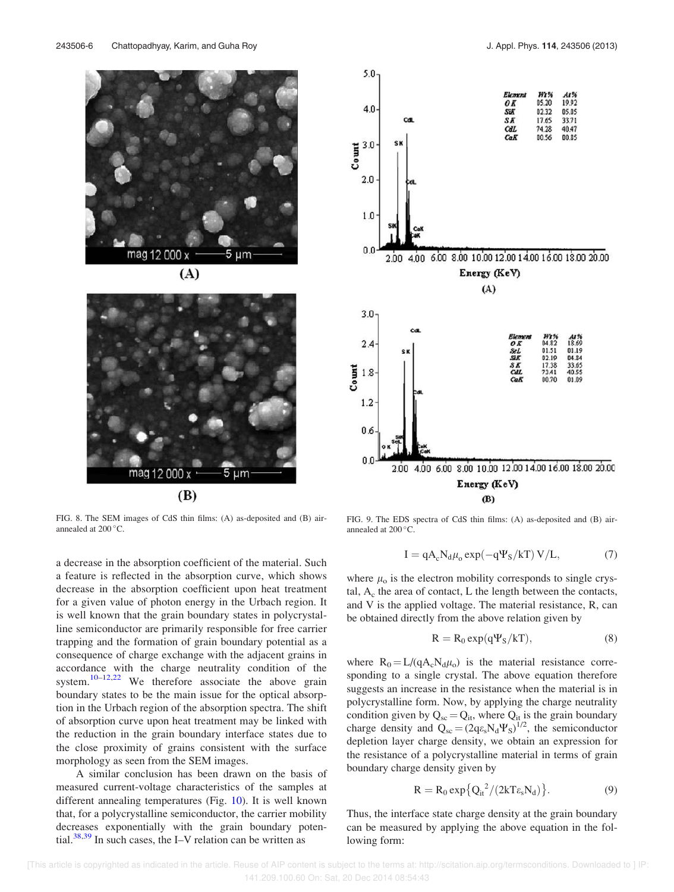

 $(A)$ 



FIG. 8. The SEM images of CdS thin films: (A) as-deposited and (B) airannealed at  $200^{\circ}$ C.

a decrease in the absorption coefficient of the material. Such a feature is reflected in the absorption curve, which shows decrease in the absorption coefficient upon heat treatment for a given value of photon energy in the Urbach region. It is well known that the grain boundary states in polycrystalline semiconductor are primarily responsible for free carrier trapping and the formation of grain boundary potential as a consequence of charge exchange with the adjacent grains in accordance with the charge neutrality condition of the system.<sup>10–12,22</sup> We therefore associate the above grain boundary states to be the main issue for the optical absorption in the Urbach region of the absorption spectra. The shift of absorption curve upon heat treatment may be linked with the reduction in the grain boundary interface states due to the close proximity of grains consistent with the surface morphology as seen from the SEM images.

A similar conclusion has been drawn on the basis of measured current-voltage characteristics of the samples at different annealing temperatures (Fig. 10). It is well known that, for a polycrystalline semiconductor, the carrier mobility decreases exponentially with the grain boundary potential.<sup>38,39</sup> In such cases, the I–V relation can be written as



FIG. 9. The EDS spectra of CdS thin films: (A) as-deposited and (B) airannealed at  $200^{\circ}$ C.

$$
I = qA_c N_d \mu_0 \exp(-q\Psi_S/kT) V/L, \qquad (7)
$$

where  $\mu_0$  is the electron mobility corresponds to single crystal,  $A_c$  the area of contact, L the length between the contacts, and V is the applied voltage. The material resistance, R, can be obtained directly from the above relation given by

$$
R = R_0 \exp(q\Psi_S/kT), \tag{8}
$$

where  $R_0 = L/(qA_cN_d\mu_o)$  is the material resistance corresponding to a single crystal. The above equation therefore suggests an increase in the resistance when the material is in polycrystalline form. Now, by applying the charge neutrality condition given by  $Q_{sc} = Q_{it}$ , where  $Q_{it}$  is the grain boundary charge density and  $Q_{sc} = (2q\varepsilon_s N_d \Psi_S)^{1/2}$ , the semiconductor depletion layer charge density, we obtain an expression for the resistance of a polycrystalline material in terms of grain boundary charge density given by

$$
R = R_0 \exp\{Q_{it}^{2}/(2kT\varepsilon_s N_d)\}.
$$
 (9)

Thus, the interface state charge density at the grain boundary can be measured by applying the above equation in the following form: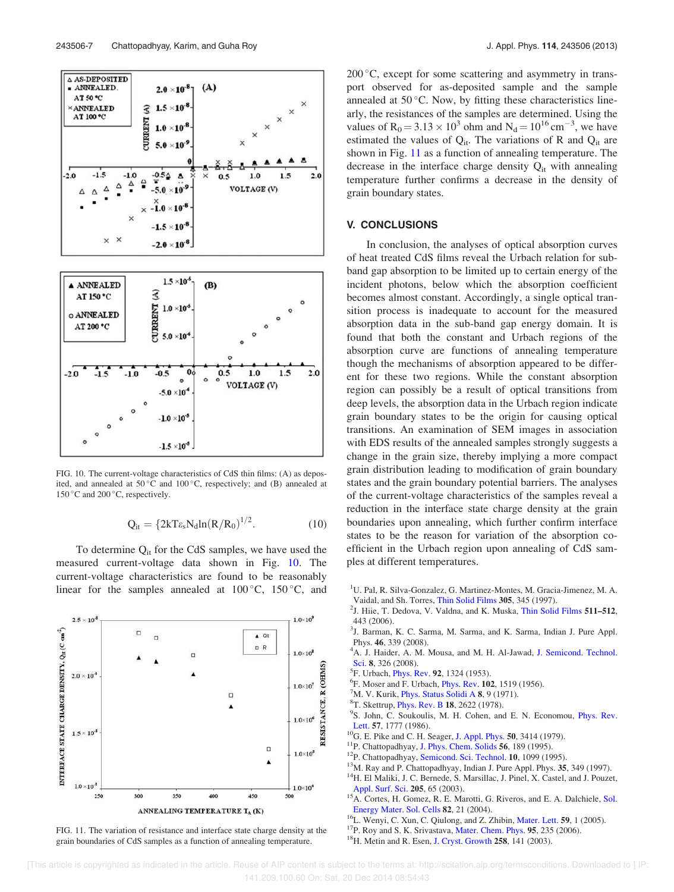

FIG. 10. The current-voltage characteristics of CdS thin films: (A) as deposited, and annealed at  $50^{\circ}$ C and  $100^{\circ}$ C, respectively; and (B) annealed at 150 °C and 200 °C, respectively.

$$
Q_{it} = \{2kT\varepsilon_s N_d \ln(R/R_0)^{1/2}.\tag{10}
$$

To determine  $Q_{it}$  for the CdS samples, we have used the measured current-voltage data shown in Fig. 10. The current-voltage characteristics are found to be reasonably linear for the samples annealed at  $100^{\circ}$ C,  $150^{\circ}$ C, and



FIG. 11. The variation of resistance and interface state charge density at the grain boundaries of CdS samples as a function of annealing temperature.

200 °C, except for some scattering and asymmetry in transport observed for as-deposited sample and the sample annealed at  $50^{\circ}$ C. Now, by fitting these characteristics linearly, the resistances of the samples are determined. Using the values of  $R_0 = 3.13 \times 10^3$  ohm and  $N_d = 10^{16}$  cm<sup>-3</sup>, we have estimated the values of  $Q_{it}$ . The variations of R and  $Q_{it}$  are shown in Fig. 11 as a function of annealing temperature. The decrease in the interface charge density  $Q_{it}$  with annealing temperature further confirms a decrease in the density of grain boundary states.

### V. CONCLUSIONS

In conclusion, the analyses of optical absorption curves of heat treated CdS films reveal the Urbach relation for subband gap absorption to be limited up to certain energy of the incident photons, below which the absorption coefficient becomes almost constant. Accordingly, a single optical transition process is inadequate to account for the measured absorption data in the sub-band gap energy domain. It is found that both the constant and Urbach regions of the absorption curve are functions of annealing temperature though the mechanisms of absorption appeared to be different for these two regions. While the constant absorption region can possibly be a result of optical transitions from deep levels, the absorption data in the Urbach region indicate grain boundary states to be the origin for causing optical transitions. An examination of SEM images in association with EDS results of the annealed samples strongly suggests a change in the grain size, thereby implying a more compact grain distribution leading to modification of grain boundary states and the grain boundary potential barriers. The analyses of the current-voltage characteristics of the samples reveal a reduction in the interface state charge density at the grain boundaries upon annealing, which further confirm interface states to be the reason for variation of the absorption coefficient in the Urbach region upon annealing of CdS samples at different temperatures.

- <sup>1</sup>U. Pal, R. Silva-Gonzalez, G. Martinez-Montes, M. Gracia-Jimenez, M. A. Vaidal, and Sh. Torres, Thin Solid Films 305, 345 (1997).
- <sup>2</sup>J. Hiie, T. Dedova, V. Valdna, and K. Muska, Thin Solid Films 511-512, 443 (2006).
- <sup>3</sup>J. Barman, K. C. Sarma, M. Sarma, and K. Sarma, Indian J. Pure Appl. Phys. 46, 339 (2008).
- <sup>4</sup>A. J. Haider, A. M. Mousa, and M. H. Al-Jawad, J. Semicond. Technol. Sci. 8, 326 (2008).
- <sup>5</sup>F. Urbach, *Phys. Rev.* 92, 1324 (1953).
- <sup>6</sup>F. Moser and F. Urbach, *Phys. Rev.* **102**, 1519 (1956).
- ${}^7$ M. V. Kurik, *Phys. Status Solidi A 8, 9 (1971)*.
- <sup>8</sup>T. Skettrup, *Phys. Rev. B* 18, 2622 (1978).
- <sup>9</sup>S. John, C. Soukoulis, M. H. Cohen, and E. N. Economou, *Phys. Rev.* Lett. 57, 1777 (1986).
- <sup>10</sup>G. E. Pike and C. H. Seager, J. Appl. Phys. **50**, 3414 (1979).
- <sup>11</sup>P. Chattopadhyay, J. Phys. Chem. Solids 56, 189 (1995).
- <sup>12</sup>P. Chattopadhyay, Semicond. Sci. Technol. 10, 1099 (1995).
- <sup>13</sup>M. Ray and P. Chattopadhyay, Indian J. Pure Appl. Phys. 35, 349 (1997). <sup>14</sup>H. El Maliki, J. C. Bernede, S. Marsillac, J. Pinel, X. Castel, and J. Pouzet,
- Appl. Surf. Sci. 205, 65 (2003).
- <sup>15</sup>A. Cortes, H. Gomez, R. E. Marotti, G. Riveros, and E. A. Dalchiele, Sol. Energy Mater. Sol. Cells 82, 21 (2004).
- <sup>16</sup>L. Wenyi, C. Xun, C. Qiulong, and Z. Zhibin, Mater. Lett. 59, 1 (2005).
- <sup>17</sup>P. Roy and S. K. Srivastava, Mater. Chem. Phys. 95, 235 (2006).
- <sup>18</sup>H. Metin and R. Esen, J. Cryst. Growth 258, 141 (2003).